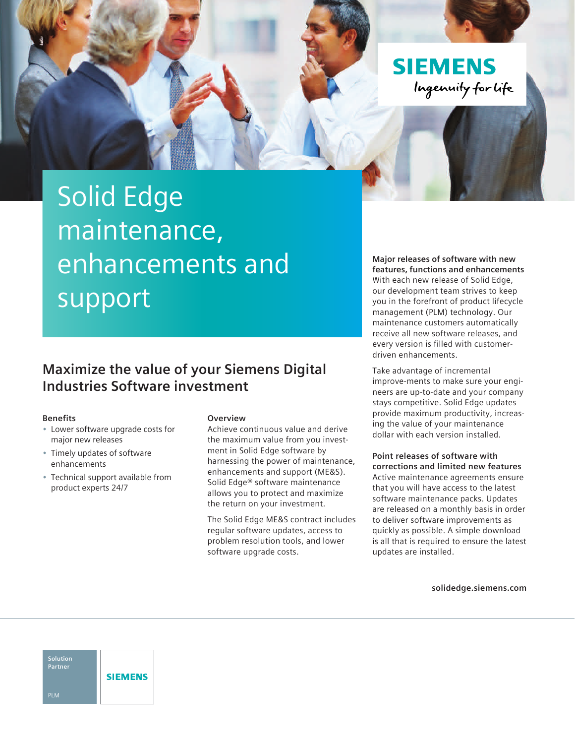Ingenuity for life

**SIEMENS** 

# Solid Edge maintenance, enhancements and support

### **Maximize the value of your Siemens Digital Industries Software investment**

### **Benefits**

- Lower software upgrade costs for major new releases
- Timely updates of software enhancements
- Technical support available from product experts 24/7

### **Overview**

Achieve continuous value and derive the maximum value from you investment in Solid Edge software by harnessing the power of maintenance, enhancements and support (ME&S). Solid Edge® software maintenance allows you to protect and maximize the return on your investment.

The Solid Edge ME&S contract includes regular software updates, access to problem resolution tools, and lower software upgrade costs.

**Major releases of software with new features, functions and enhancements**  With each new release of Solid Edge, our development team strives to keep you in the forefront of product lifecycle management (PLM) technology. Our maintenance customers automatically receive all new software releases, and every version is filled with customerdriven enhancements.

Take advantage of incremental improve-ments to make sure your engineers are up-to-date and your company stays competitive. Solid Edge updates provide maximum productivity, increasing the value of your maintenance dollar with each version installed.

**Point releases of software with corrections and limited new features** Active maintenance agreements ensure that you will have access to the latest software maintenance packs. Updates are released on a monthly basis in order to deliver software improvements as quickly as possible. A simple download is all that is required to ensure the latest updates are installed.

**[solidedge.siemens.com](http://solidedge.siemens.com)**

**Solution Partner SIEMENS** PLM